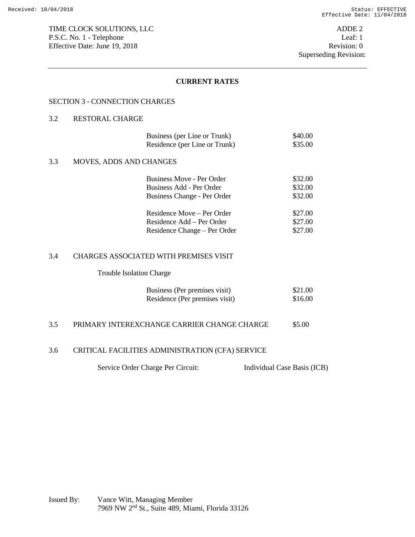TIME CLOCK SOLUTIONS, LLC ADDE 2 P.S.C. No. 1 - Telephone Leaf: 1 Effective Date: June 19, 2018 Revision: 0

# **CURRENT RATES**

#### SECTION 3 - CONNECTION CHARGES

#### 3.2 RESTORAL CHARGE

| Business (per Line or Trunk)  | \$40.00 |
|-------------------------------|---------|
| Residence (per Line or Trunk) | \$35.00 |

#### 3.3 MOVES, ADDS AND CHANGES

| Business Move - Per Order    | \$32.00 |
|------------------------------|---------|
| Business Add - Per Order     | \$32.00 |
| Business Change - Per Order  | \$32.00 |
|                              |         |
| Residence Move – Per Order   | \$27.00 |
| Residence Add – Per Order    | \$27.00 |
| Residence Change – Per Order | \$27.00 |

### 3.4 CHARGES ASSOCIATED WITH PREMISES VISIT

#### Trouble Isolation Charge

| Business (Per premises visit)  | \$21.00 |
|--------------------------------|---------|
| Residence (Per premises visit) | \$16.00 |

### 3.5 PRIMARY INTEREXCHANGE CARRIER CHANGE CHARGE \$5.00

## 3.6 CRITICAL FACILITIES ADMINISTRATION (CFA) SERVICE

Service Order Charge Per Circuit: Individual Case Basis (ICB)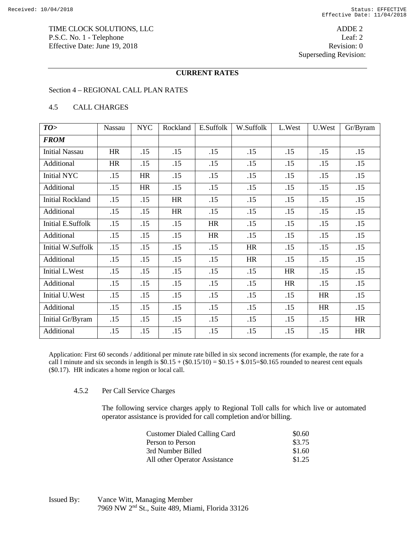TIME CLOCK SOLUTIONS, LLC ADDE 2 P.S.C. No. 1 - Telephone Leaf: 2 Effective Date: June 19, 2018 Revision: 0

# **CURRENT RATES**

### Section 4 – REGIONAL CALL PLAN RATES

### 4.5 CALL CHARGES

| TO>                      | Nassau    | <b>NYC</b> | Rockland  | E.Suffolk | W.Suffolk | L.West    | U.West    | Gr/Byram |
|--------------------------|-----------|------------|-----------|-----------|-----------|-----------|-----------|----------|
| <b>FROM</b>              |           |            |           |           |           |           |           |          |
| <b>Initial Nassau</b>    | <b>HR</b> | .15        | .15       | .15       | .15       | .15       | .15       | .15      |
| Additional               | <b>HR</b> | .15        | .15       | .15       | .15       | .15       | .15       | .15      |
| Initial NYC              | .15       | <b>HR</b>  | .15       | .15       | .15       | .15       | .15       | .15      |
| Additional               | .15       | <b>HR</b>  | .15       | .15       | .15       | .15       | .15       | .15      |
| <b>Initial Rockland</b>  | .15       | .15        | HR        | .15       | .15       | .15       | .15       | .15      |
| Additional               | .15       | .15        | <b>HR</b> | .15       | .15       | .15       | .15       | .15      |
| <b>Initial E.Suffolk</b> | .15       | .15        | .15       | <b>HR</b> | .15       | .15       | .15       | .15      |
| Additional               | .15       | .15        | .15       | <b>HR</b> | .15       | .15       | .15       | .15      |
| <b>Initial W.Suffolk</b> | .15       | .15        | .15       | .15       | <b>HR</b> | .15       | .15       | .15      |
| Additional               | .15       | .15        | .15       | .15       | <b>HR</b> | .15       | .15       | .15      |
| Initial L.West           | .15       | .15        | .15       | .15       | .15       | <b>HR</b> | .15       | .15      |
| Additional               | .15       | .15        | .15       | .15       | .15       | HR        | .15       | .15      |
| <b>Initial U.West</b>    | .15       | .15        | .15       | .15       | .15       | .15       | <b>HR</b> | .15      |
| Additional               | .15       | .15        | .15       | .15       | .15       | .15       | HR        | .15      |
| Initial Gr/Byram         | .15       | .15        | .15       | .15       | .15       | .15       | .15       | HR       |
| Additional               | .15       | .15        | .15       | .15       | .15       | .15       | .15       | HR       |

Application: First 60 seconds / additional per minute rate billed in six second increments (for example, the rate for a call 1 minute and six seconds in length is  $$0.15 + ($0.15/10) = $0.15 + $0.15 = $0.165$  rounded to nearest cent equals (\$0.17). HR indicates a home region or local call.

#### 4.5.2 Per Call Service Charges

 The following service charges apply to Regional Toll calls for which live or automated operator assistance is provided for call completion and/or billing.

| <b>Customer Dialed Calling Card</b> | \$0.60 |
|-------------------------------------|--------|
| Person to Person                    | \$3.75 |
| 3rd Number Billed                   | \$1.60 |
| All other Operator Assistance       | \$1.25 |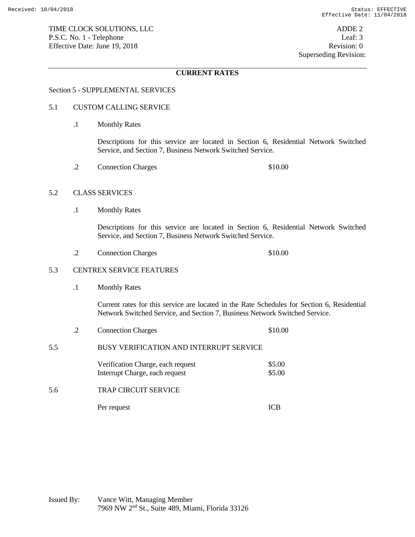TIME CLOCK SOLUTIONS, LLC ADDE 2 P.S.C. No. 1 - Telephone Leaf: 3 Effective Date: June 19, 2018 Revision: 0

# **CURRENT RATES**

# Section 5 - SUPPLEMENTAL SERVICES

### 5.1 CUSTOM CALLING SERVICE

.1 Monthly Rates

 Descriptions for this service are located in Section 6, Residential Network Switched Service, and Section 7, Business Network Switched Service.

.2 Connection Charges \$10.00

### 5.2 CLASS SERVICES

.1 Monthly Rates

 Descriptions for this service are located in Section 6, Residential Network Switched Service, and Section 7, Business Network Switched Service.

.2 Connection Charges \$10.00

# 5.3 CENTREX SERVICE FEATURES

.1 Monthly Rates

 Current rates for this service are located in the Rate Schedules for Section 6, Residential Network Switched Service, and Section 7, Business Network Switched Service.

- .2 Connection Charges \$10.00
- 5.5 BUSY VERIFICATION AND INTERRUPT SERVICE

| Verification Charge, each request | \$5.00 |
|-----------------------------------|--------|
| Interrupt Charge, each request    | \$5.00 |

5.6 TRAP CIRCUIT SERVICE

Per request ICB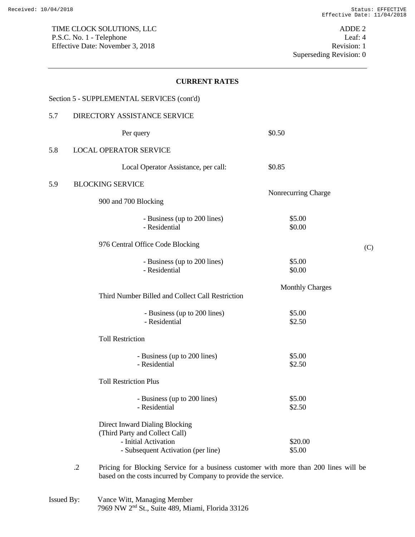|     | Section 5 - SUPPLEMENTAL SERVICES (cont'd)                                                      |                        |     |
|-----|-------------------------------------------------------------------------------------------------|------------------------|-----|
| 5.7 | DIRECTORY ASSISTANCE SERVICE                                                                    |                        |     |
|     | Per query                                                                                       | \$0.50                 |     |
| 5.8 | <b>LOCAL OPERATOR SERVICE</b>                                                                   |                        |     |
|     | Local Operator Assistance, per call:                                                            | \$0.85                 |     |
| 5.9 | <b>BLOCKING SERVICE</b>                                                                         |                        |     |
|     | 900 and 700 Blocking                                                                            | Nonrecurring Charge    |     |
|     | - Business (up to 200 lines)<br>- Residential                                                   | \$5.00<br>\$0.00       |     |
|     | 976 Central Office Code Blocking                                                                |                        | (C) |
|     | - Business (up to 200 lines)<br>- Residential                                                   | \$5.00<br>\$0.00       |     |
|     | Third Number Billed and Collect Call Restriction                                                | <b>Monthly Charges</b> |     |
|     | - Business (up to 200 lines)<br>- Residential                                                   | \$5.00<br>\$2.50       |     |
|     | <b>Toll Restriction</b>                                                                         |                        |     |
|     | - Business (up to 200 lines)<br>- Residential                                                   | \$5.00<br>\$2.50       |     |
|     | <b>Toll Restriction Plus</b>                                                                    |                        |     |
|     | - Business (up to 200 lines)<br>- Residential                                                   | \$5.00<br>\$2.50       |     |
|     | <b>Direct Inward Dialing Blocking</b><br>(Third Party and Collect Call)<br>- Initial Activation | \$20.00                |     |

 .2 Pricing for Blocking Service for a business customer with more than 200 lines will be based on the costs incurred by Company to provide the service.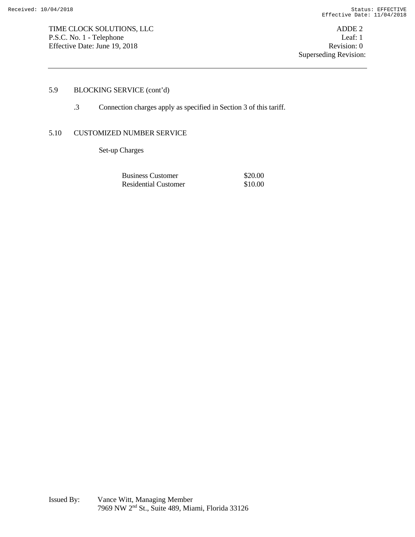TIME CLOCK SOLUTIONS, LLC<br>
P.S.C. No. 1 - Telephone Leaf: 1 P.S.C. No. 1 - Telephone Leaf: 1<br>Effective Date: June 19, 2018 Revision: 0 Effective Date: June 19, 2018

# 5.9 BLOCKING SERVICE (cont'd)

.3 Connection charges apply as specified in Section 3 of this tariff.

### 5.10 CUSTOMIZED NUMBER SERVICE

Set-up Charges

| <b>Business Customer</b>    | \$20.00 |
|-----------------------------|---------|
| <b>Residential Customer</b> | \$10.00 |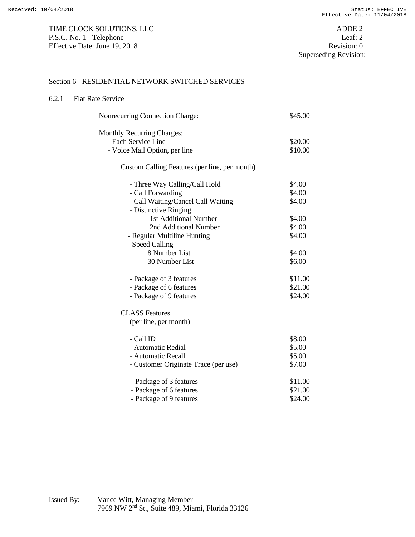# Section 6 - RESIDENTIAL NETWORK SWITCHED SERVICES 6.2.1 Flat Rate Service Nonrecurring Connection Charge: \$45.00 Monthly Recurring Charges: - Each Service Line  $$20.00$ - Voice Mail Option, per line \$10.00 Custom Calling Features (per line, per month) - Three Way Calling/Call Hold \$4.00 - Call Forwarding \$4.00 - Call Waiting/Cancel Call Waiting  $$4.00$  - Distinctive Ringing 1st Additional Number  $\qquad 1$  \$4.00 2nd Additional Number  $$4.00$ - Regular Multiline Hunting \$4.00 - Speed Calling 8 Number List \$4.00 30 Number List \$6.00 - Package of 3 features \$11.00 - Package of 6 features \$21.00 - Package of 9 features \$24.00 CLASS Features (per line, per month)  $-Sal <sub>1</sub>$   $\sim$   $\frac{88.00}{58.00}$ - Automatic Redial  $$5.00$ - Automatic Recall  $$5.00$  - Customer Originate Trace (per use) \$7.00 - Package of 3 features \$11.00 - Package of 6 features \$21.00 - Package of 9 features \$24.00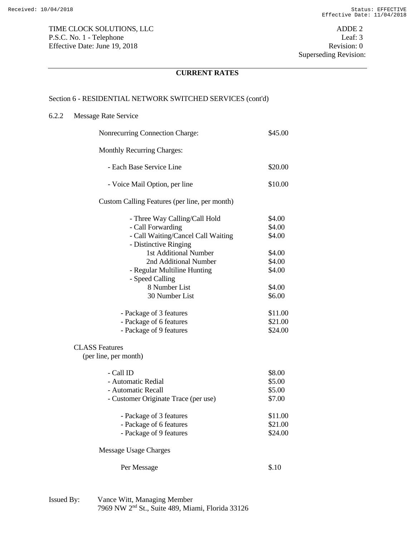## Section 6 - RESIDENTIAL NETWORK SWITCHED SERVICES (cont'd)

# 6.2.2 Message Rate Service

| Nonrecurring Connection Charge:               | \$45.00 |
|-----------------------------------------------|---------|
| Monthly Recurring Charges:                    |         |
| - Each Base Service Line                      | \$20.00 |
| - Voice Mail Option, per line                 | \$10.00 |
| Custom Calling Features (per line, per month) |         |
| - Three Way Calling/Call Hold                 | \$4.00  |
| - Call Forwarding                             | \$4.00  |
| - Call Waiting/Cancel Call Waiting            | \$4.00  |
| - Distinctive Ringing                         |         |
| 1st Additional Number                         | \$4.00  |
| 2nd Additional Number                         | \$4.00  |
| - Regular Multiline Hunting                   | \$4.00  |
| - Speed Calling                               |         |
| 8 Number List                                 | \$4.00  |
| 30 Number List                                | \$6.00  |
| - Package of 3 features                       | \$11.00 |
| - Package of 6 features                       | \$21.00 |
| - Package of 9 features                       | \$24.00 |
| <b>CLASS Features</b>                         |         |
| (per line, per month)                         |         |
| - Call ID                                     | \$8.00  |
| - Automatic Redial                            | \$5.00  |
| - Automatic Recall                            | \$5.00  |
| - Customer Originate Trace (per use)          | \$7.00  |
| - Package of 3 features                       | \$11.00 |
| - Package of 6 features                       | \$21.00 |
| - Package of 9 features                       | \$24.00 |
| <b>Message Usage Charges</b>                  |         |
| Per Message                                   | \$.10   |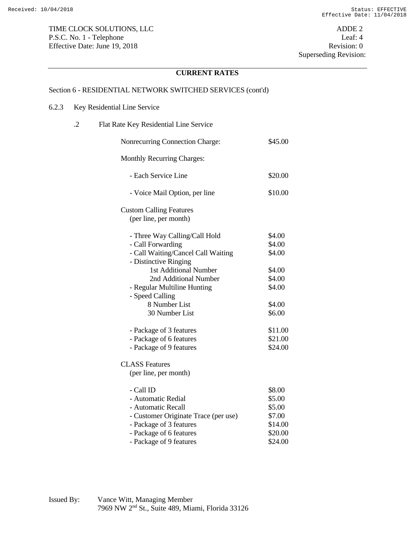Superseding Revision:

# **CURRENT RATES**

# Section 6 - RESIDENTIAL NETWORK SWITCHED SERVICES (cont'd)

# 6.2.3 Key Residential Line Service

.2 Flat Rate Key Residential Line Service

| Nonrecurring Connection Charge:      | \$45.00 |
|--------------------------------------|---------|
| Monthly Recurring Charges:           |         |
| - Each Service Line                  | \$20.00 |
| - Voice Mail Option, per line        | \$10.00 |
| <b>Custom Calling Features</b>       |         |
| (per line, per month)                |         |
| - Three Way Calling/Call Hold        | \$4.00  |
| - Call Forwarding                    | \$4.00  |
| - Call Waiting/Cancel Call Waiting   | \$4.00  |
| - Distinctive Ringing                |         |
| 1st Additional Number                | \$4.00  |
| 2nd Additional Number                | \$4.00  |
| - Regular Multiline Hunting          | \$4.00  |
| - Speed Calling                      |         |
| 8 Number List                        | \$4.00  |
| 30 Number List                       | \$6.00  |
| - Package of 3 features              | \$11.00 |
| - Package of 6 features              | \$21.00 |
| - Package of 9 features              | \$24.00 |
| <b>CLASS Features</b>                |         |
| (per line, per month)                |         |
| - Call ID                            | \$8.00  |
| - Automatic Redial                   | \$5.00  |
| - Automatic Recall                   | \$5.00  |
| - Customer Originate Trace (per use) | \$7.00  |
| - Package of 3 features              | \$14.00 |
| - Package of 6 features              | \$20.00 |
| - Package of 9 features              | \$24.00 |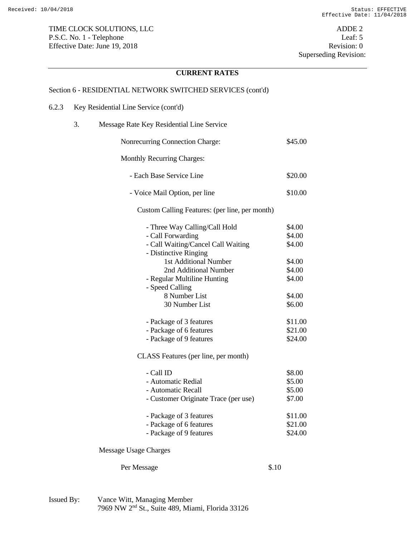Nonrecurring Connection Charge: \$45.00

#### Section 6 - RESIDENTIAL NETWORK SWITCHED SERVICES (cont'd)

#### 6.2.3 Key Residential Line Service (cont'd)

#### 3. Message Rate Key Residential Line Service

| <b>Monthly Recurring Charges:</b>              |         |
|------------------------------------------------|---------|
| - Each Base Service Line                       | \$20.00 |
| - Voice Mail Option, per line                  | \$10.00 |
| Custom Calling Features: (per line, per month) |         |
| - Three Way Calling/Call Hold                  | \$4.00  |
| - Call Forwarding                              | \$4.00  |
| - Call Waiting/Cancel Call Waiting             | \$4.00  |
| - Distinctive Ringing                          |         |
| 1st Additional Number                          | \$4.00  |
| 2nd Additional Number                          | \$4.00  |
| - Regular Multiline Hunting                    | \$4.00  |
| - Speed Calling                                |         |
| 8 Number List                                  | \$4.00  |
| 30 Number List                                 | \$6.00  |
| - Package of 3 features                        | \$11.00 |

- Package of 9 features \$24.00

CLASS Features (per line, per month)

| - Call ID                            | \$8.00  |
|--------------------------------------|---------|
| - Automatic Redial                   | \$5.00  |
| - Automatic Recall                   | \$5.00  |
| - Customer Originate Trace (per use) | \$7.00  |
| - Package of 3 features              | \$11.00 |
| - Package of 6 features              | \$21.00 |
| - Package of 9 features              | \$24.00 |

- Package of 6 features \$21.00

Message Usage Charges

Per Message  $\$$ .10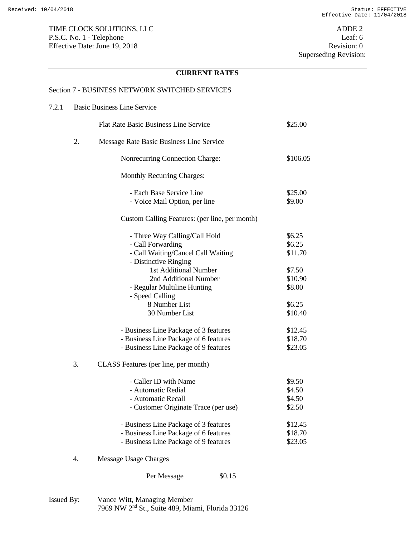### Section 7 - BUSINESS NETWORK SWITCHED SERVICES

| 7.2.1 | <b>Basic Business Line Service</b> |                                                                                                                         |                                      |  |
|-------|------------------------------------|-------------------------------------------------------------------------------------------------------------------------|--------------------------------------|--|
|       |                                    | <b>Flat Rate Basic Business Line Service</b>                                                                            | \$25.00                              |  |
|       | 2.                                 | Message Rate Basic Business Line Service                                                                                |                                      |  |
|       |                                    | Nonrecurring Connection Charge:                                                                                         | \$106.05                             |  |
|       |                                    | <b>Monthly Recurring Charges:</b>                                                                                       |                                      |  |
|       |                                    | - Each Base Service Line<br>- Voice Mail Option, per line                                                               | \$25.00<br>\$9.00                    |  |
|       |                                    | Custom Calling Features: (per line, per month)                                                                          |                                      |  |
|       |                                    | - Three Way Calling/Call Hold<br>- Call Forwarding<br>- Call Waiting/Cancel Call Waiting<br>- Distinctive Ringing       | \$6.25<br>\$6.25<br>\$11.70          |  |
|       |                                    | 1st Additional Number<br>2nd Additional Number<br>- Regular Multiline Hunting                                           | \$7.50<br>\$10.90<br>\$8.00          |  |
|       |                                    | - Speed Calling<br>8 Number List<br>30 Number List                                                                      | \$6.25<br>\$10.40                    |  |
|       |                                    | - Business Line Package of 3 features<br>- Business Line Package of 6 features<br>- Business Line Package of 9 features | \$12.45<br>\$18.70<br>\$23.05        |  |
|       | 3.                                 | CLASS Features (per line, per month)                                                                                    |                                      |  |
|       |                                    | - Caller ID with Name<br>- Automatic Redial<br>- Automatic Recall<br>- Customer Originate Trace (per use)               | \$9.50<br>\$4.50<br>\$4.50<br>\$2.50 |  |
|       |                                    | - Business Line Package of 3 features<br>- Business Line Package of 6 features<br>- Business Line Package of 9 features | \$12.45<br>\$18.70<br>\$23.05        |  |
|       | 4.                                 | Message Usage Charges                                                                                                   |                                      |  |

Per Message  $$0.15$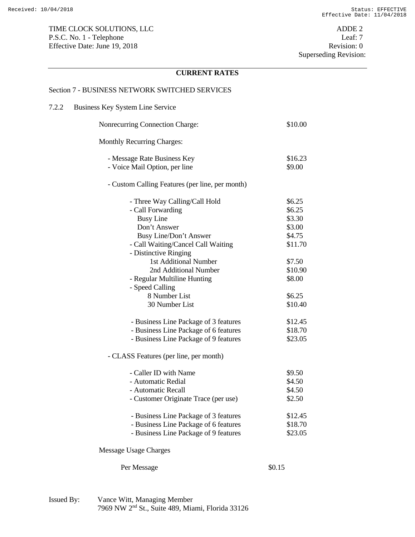# Section 7 - BUSINESS NETWORK SWITCHED SERVICES

# 7.2.2 Business Key System Line Service

| Nonrecurring Connection Charge:                 | \$10.00 |
|-------------------------------------------------|---------|
| <b>Monthly Recurring Charges:</b>               |         |
| - Message Rate Business Key                     | \$16.23 |
| - Voice Mail Option, per line                   | \$9.00  |
| - Custom Calling Features (per line, per month) |         |
| - Three Way Calling/Call Hold                   | \$6.25  |
| - Call Forwarding                               | \$6.25  |
| <b>Busy Line</b>                                | \$3.30  |
| Don't Answer                                    | \$3.00  |
| Busy Line/Don't Answer                          | \$4.75  |
| - Call Waiting/Cancel Call Waiting              | \$11.70 |
| - Distinctive Ringing                           |         |
| 1st Additional Number                           | \$7.50  |
| 2nd Additional Number                           | \$10.90 |
| - Regular Multiline Hunting                     | \$8.00  |
| - Speed Calling                                 |         |
| 8 Number List                                   | \$6.25  |
| 30 Number List                                  | \$10.40 |
| - Business Line Package of 3 features           | \$12.45 |
| - Business Line Package of 6 features           | \$18.70 |
| - Business Line Package of 9 features           | \$23.05 |
| - CLASS Features (per line, per month)          |         |
| - Caller ID with Name                           | \$9.50  |
| - Automatic Redial                              | \$4.50  |
| - Automatic Recall                              | \$4.50  |
| - Customer Originate Trace (per use)            | \$2.50  |
| - Business Line Package of 3 features           | \$12.45 |
| - Business Line Package of 6 features           | \$18.70 |
| - Business Line Package of 9 features           | \$23.05 |
| Message Usage Charges                           |         |

| Per Message | \$0.15 |  |
|-------------|--------|--|
|-------------|--------|--|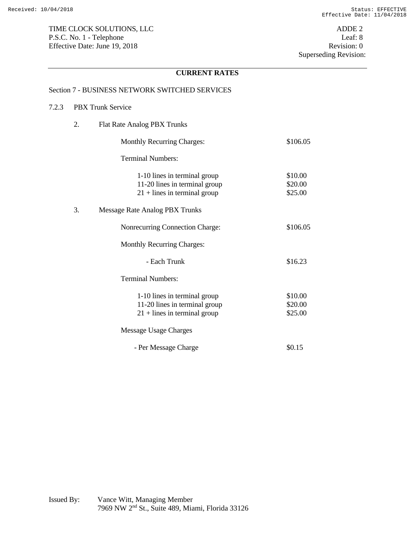TIME CLOCK SOLUTIONS, LLC<br>
P.S.C. No. 1 - Telephone Leaf: 8 P.S.C. No. 1 - Telephone Leaf: 8<br>Effective Date: June 19, 2018 Revision: 0 Effective Date: June 19, 2018

# **CURRENT RATES**

### Section 7 - BUSINESS NETWORK SWITCHED SERVICES

## 7.2.3 PBX Trunk Service

| 2. | Flat Rate Analog PBX Trunks                                                                     |                               |
|----|-------------------------------------------------------------------------------------------------|-------------------------------|
|    | <b>Monthly Recurring Charges:</b>                                                               | \$106.05                      |
|    | <b>Terminal Numbers:</b>                                                                        |                               |
|    | 1-10 lines in terminal group<br>11-20 lines in terminal group<br>$21 +$ lines in terminal group | \$10.00<br>\$20.00<br>\$25.00 |
| 3. | Message Rate Analog PBX Trunks                                                                  |                               |
|    | Nonrecurring Connection Charge:                                                                 | \$106.05                      |
|    | <b>Monthly Recurring Charges:</b>                                                               |                               |
|    | - Each Trunk                                                                                    | \$16.23                       |
|    | <b>Terminal Numbers:</b>                                                                        |                               |
|    | 1-10 lines in terminal group<br>11-20 lines in terminal group<br>$21 +$ lines in terminal group | \$10.00<br>\$20.00<br>\$25.00 |
|    | Message Usage Charges                                                                           |                               |
|    | - Per Message Charge                                                                            | \$0.15                        |

Issued By: Vance Witt, Managing Member 7969 NW 2nd St., Suite 489, Miami, Florida 33126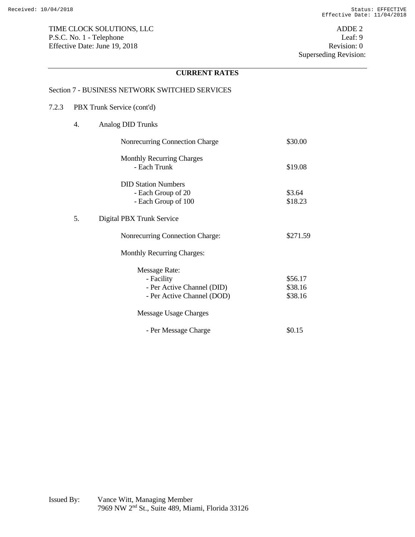# Section 7 - BUSINESS NETWORK SWITCHED SERVICES

# 7.2.3 PBX Trunk Service (cont'd)

| 4. | <b>Analog DID Trunks</b>                                                                |                               |
|----|-----------------------------------------------------------------------------------------|-------------------------------|
|    | Nonrecurring Connection Charge                                                          | \$30.00                       |
|    | <b>Monthly Recurring Charges</b><br>- Each Trunk                                        | \$19.08                       |
|    | <b>DID Station Numbers</b><br>- Each Group of 20<br>- Each Group of 100                 | \$3.64<br>\$18.23             |
| 5. | Digital PBX Trunk Service                                                               |                               |
|    | Nonrecurring Connection Charge:                                                         | \$271.59                      |
|    | <b>Monthly Recurring Charges:</b>                                                       |                               |
|    | Message Rate:<br>- Facility<br>- Per Active Channel (DID)<br>- Per Active Channel (DOD) | \$56.17<br>\$38.16<br>\$38.16 |
|    | Message Usage Charges                                                                   |                               |

- Per Message Charge  $\$0.15$